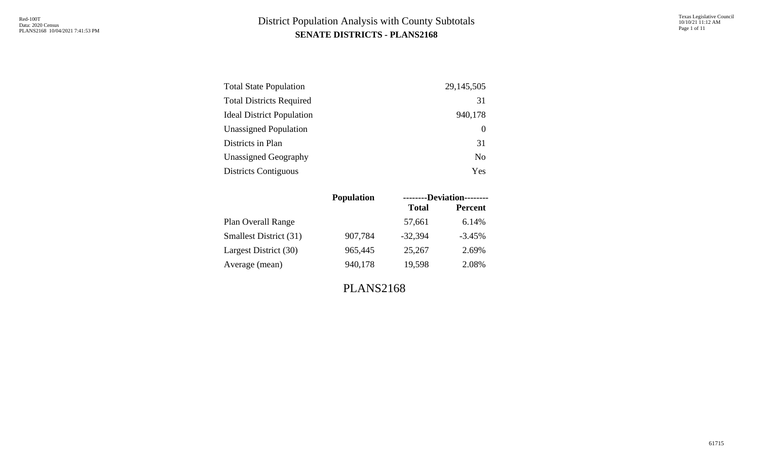| <b>Total State Population</b>    | 29, 145, 505   |
|----------------------------------|----------------|
| <b>Total Districts Required</b>  | 31             |
| <b>Ideal District Population</b> | 940,178        |
| <b>Unassigned Population</b>     |                |
| Districts in Plan                | 31             |
| <b>Unassigned Geography</b>      | N <sub>0</sub> |
| <b>Districts Contiguous</b>      | Yes            |

|                               | <b>Population</b> |              | --------Deviation-------- |
|-------------------------------|-------------------|--------------|---------------------------|
|                               |                   | <b>Total</b> | <b>Percent</b>            |
| Plan Overall Range            |                   | 57,661       | 6.14%                     |
| <b>Smallest District (31)</b> | 907,784           | $-32,394$    | $-3.45%$                  |
| Largest District (30)         | 965,445           | 25,267       | 2.69%                     |
| Average (mean)                | 940,178           | 19,598       | 2.08%                     |
|                               |                   |              |                           |

PLANS2168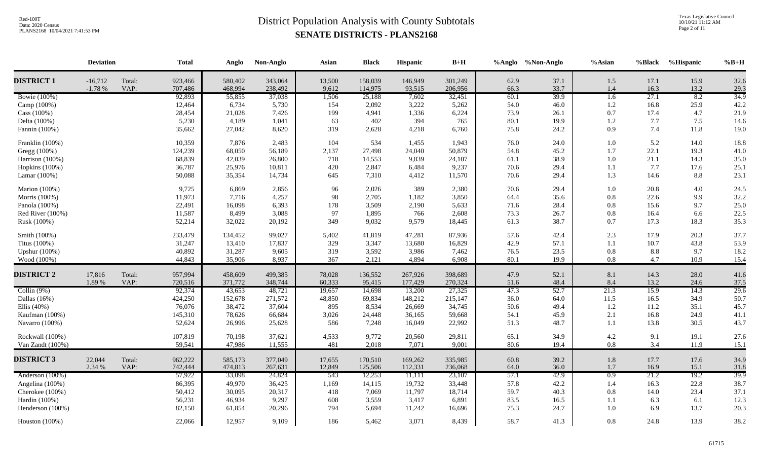Texas Legislative Council 10/10/21 11:12 AM Page 2 of 11

|                       | <b>Deviation</b>      |                | <b>Total</b>       | Anglo              | Non-Anglo          | Asian           | <b>Black</b>       | Hispanic          | $B+H$              |              | %Anglo %Non-Anglo | $%$ Asian        | %Black       | %Hispanic    | $%B+H$       |
|-----------------------|-----------------------|----------------|--------------------|--------------------|--------------------|-----------------|--------------------|-------------------|--------------------|--------------|-------------------|------------------|--------------|--------------|--------------|
| <b>DISTRICT 1</b>     | $-16,712$<br>$-1.78%$ | Total:<br>VAP: | 923,466<br>707,486 | 580,402<br>468,994 | 343,064<br>238,492 | 13,500<br>9,612 | 158,039<br>114,975 | 146,949<br>93,515 | 301,249<br>206,956 | 62.9<br>66.3 | 37.1<br>33.7      | 1.5<br>1.4       | 17.1<br>16.3 | 15.9<br>13.2 | 32.6<br>29.3 |
| <b>Bowie</b> (100%)   |                       |                | 92,893             | 55,855             | 37,038             | 1,506           | 25,188             | 7,602             | 32,451             | 60.1         | 39.9              | 1.6              | 27.1         | 8.2          | 34.9         |
| Camp (100%)           |                       |                | 12,464             | 6,734              | 5,730              | 154             | 2,092              | 3,222             | 5,262              | 54.0         | 46.0              | $1.2\,$          | 16.8         | 25.9         | 42.2         |
| $\text{Cass} (100\%)$ |                       |                | 28,454             | 21,028             | 7,426              | 199             | 4,941              | 1,336             | 6,224              | 73.9         | 26.1              | 0.7              | 17.4         | 4.7          | 21.9         |
| Delta (100%)          |                       |                | 5,230              | 4,189              | 1,041              | 63              | 402                | 394               | 765                | 80.1         | 19.9              | 1.2              | 7.7          | $7.5$        | 14.6         |
| Fannin (100%)         |                       |                | 35,662             | 27,042             | 8,620              | 319             | 2,628              | 4,218             | 6,760              | 75.8         | 24.2              | 0.9              | 7.4          | 11.8         | 19.0         |
| Franklin (100%)       |                       |                | 10,359             | 7,876              | 2,483              | 104             | 534                | 1,455             | 1,943              | 76.0         | 24.0              | 1.0              | 5.2          | 14.0         | 18.8         |
| Gregg (100%)          |                       |                | 124,239            | 68,050             | 56,189             | 2,137           | 27,498             | 24,040            | 50,879             | 54.8         | 45.2              | 1.7              | 22.1         | 19.3         | 41.0         |
| Harrison (100%)       |                       |                | 68,839             | 42,039             | 26,800             | 718             | 14,553             | 9,839             | 24,107             | 61.1         | 38.9              | 1.0              | 21.1         | 14.3         | 35.0         |
| Hopkins (100%)        |                       |                | 36,787             | 25,976             | 10,811             | 420             | 2,847              | 6,484             | 9,237              | 70.6         | 29.4              | 1.1              | 7.7          | 17.6         | 25.1         |
| Lamar (100%)          |                       |                | 50,088             | 35,354             | 14,734             | 645             | 7,310              | 4,412             | 11,570             | 70.6         | 29.4              | 1.3              | 14.6         | $8.8\,$      | 23.1         |
| Marion (100%)         |                       |                | 9,725              | 6,869              | 2,856              | 96              | 2,026              | 389               | 2,380              | 70.6         | 29.4              | 1.0              | 20.8         | 4.0          | 24.5         |
| Morris (100%)         |                       |                | 11,973             | 7,716              | 4,257              | 98              | 2,705              | 1,182             | 3,850              | 64.4         | 35.6              | 0.8              | 22.6         | 9.9          | 32.2         |
| Panola (100%)         |                       |                | 22,491             | 16,098             | 6,393              | 178             | 3,509              | 2,190             | 5,633              | 71.6         | 28.4              | 0.8              | 15.6         | 9.7          | 25.0         |
| Red River (100%)      |                       |                | 11,587             | 8,499              | 3,088              | 97              | 1,895              | 766               | 2,608              | 73.3         | 26.7              | 0.8              | 16.4         | 6.6          | 22.5         |
| Rusk (100%)           |                       |                | 52,214             | 32,022             | 20,192             | 349             | 9,032              | 9,579             | 18,445             | 61.3         | 38.7              | 0.7              | 17.3         | 18.3         | 35.3         |
| Smith (100%)          |                       |                | 233,479            | 134,452            | 99,027             | 5,402           | 41,819             | 47,281            | 87,936             | 57.6         | 42.4              | 2.3              | 17.9         | 20.3         | 37.7         |
| Titus (100%)          |                       |                | 31,247             | 13,410             | 17,837             | 329             | 3,347              | 13,680            | 16,829             | 42.9         | 57.1              | 1.1              | 10.7         | 43.8         | 53.9         |
| <b>Upshur</b> (100%)  |                       |                | 40,892             | 31,287             | 9,605              | 319             | 3,592              | 3,986             | 7,462              | 76.5         | 23.5              | 0.8              | 8.8          | 9.7          | 18.2         |
| Wood (100%)           |                       |                | 44,843             | 35,906             | 8,937              | 367             | 2,121              | 4,894             | 6,908              | 80.1         | 19.9              | 0.8              | 4.7          | 10.9         | 15.4         |
| <b>DISTRICT 2</b>     | 17,816                | Total:         | 957,994            | 458,609            | 499,385            | 78,028          | 136,552            | 267,926           | 398,689            | 47.9         | 52.1              | 8.1              | 14.3         | 28.0         | 41.6         |
|                       | 1.89 %                | VAP:           | 720,516            | 371,772            | 348,744            | 60,333          | 95,415             | 177,429           | 270,324            | 51.6         | 48.4              | 8.4              | 13.2         | 24.6         | 37.5         |
| Collin $(9%)$         |                       |                | 92,374             | 43,653             | 48,721             | 19,657          | 14,698             | 13,200            | 27,325             | 47.3         | 52.7              | 21.3             | 15.9         | 14.3         | 29.6         |
| Dallas $(16%)$        |                       |                | 424,250            | 152,678            | 271,572            | 48,850          | 69,834             | 148,212           | 215,147            | 36.0         | 64.0              | 11.5             | 16.5         | 34.9         | 50.7         |
| Ellis $(40\%)$        |                       |                | 76,076             | 38,472             | 37,604             | 895             | 8,534              | 26,669            | 34,745             | 50.6         | 49.4              | 1.2              | 11.2         | 35.1         | 45.7         |
| Kaufman (100%)        |                       |                | 145,310            | 78,626             | 66,684             | 3,026           | 24,448             | 36,165            | 59,668             | 54.1         | 45.9              | 2.1              | 16.8         | 24.9         | 41.1         |
| Navarro (100%)        |                       |                | 52,624             | 26,996             | 25,628             | 586             | 7,248              | 16,049            | 22,992             | 51.3         | 48.7              | 1.1              | 13.8         | 30.5         | 43.7         |
| Rockwall (100%)       |                       |                | 107,819            | 70,198             | 37,621             | 4,533           | 9,772              | 20,560            | 29,811             | 65.1         | 34.9              | 4.2              | 9.1          | 19.1         | 27.6         |
| Van Zandt (100%)      |                       |                | 59,541             | 47,986             | 11,555             | 481             | 2,018              | 7,071             | 9,001              | 80.6         | 19.4              | $0.8\,$          | 3.4          | 11.9         | 15.1         |
| <b>DISTRICT 3</b>     | 22,044                | Total:         | 962,222            | 585,173            | 377,049            | 17,655          | 170,510            | 169,262           | 335,985            | 60.8         | 39.2              | 1.8              | 17.7         | 17.6         | 34.9         |
|                       | 2.34 %                | VAP:           | 742,444            | 474,813            | 267,631            | 12,849          | 125,506            | 112,331           | 236,068            | 64.0         | 36.0              | 1.7              | 16.9         | 15.1         | 31.8         |
| Anderson (100%)       |                       |                | 57,922             | 33,098             | 24,824             | 543             | 12,253             | 11,111            | 23,107             | 57.1         | 42.9              | $\overline{0.9}$ | 21.2         | 19.2         | 39.9         |
| Angelina (100%)       |                       |                | 86,395             | 49,970             | 36,425             | 1,169           | 14,115             | 19,732            | 33,448             | 57.8         | 42.2              | 1.4              | 16.3         | 22.8         | 38.7         |
| Cherokee (100%)       |                       |                | 50,412             | 30,095             | 20,317             | 418             | 7,069              | 11,797            | 18,714             | 59.7         | 40.3              | 0.8              | 14.0         | 23.4         | 37.1         |
| Hardin (100%)         |                       |                | 56,231             | 46,934             | 9,297              | 608             | 3,559              | 3,417             | 6,891              | 83.5         | 16.5              | 1.1              | 6.3          | 6.1          | 12.3         |
| Henderson (100%)      |                       |                | 82,150             | 61,854             | 20,296             | 794             | 5,694              | 11,242            | 16,696             | 75.3         | 24.7              | 1.0              | 6.9          | 13.7         | 20.3         |
| Houston (100%)        |                       |                | 22,066             | 12,957             | 9,109              | 186             | 5,462              | 3,071             | 8,439              | 58.7         | 41.3              | 0.8              | 24.8         | 13.9         | 38.2         |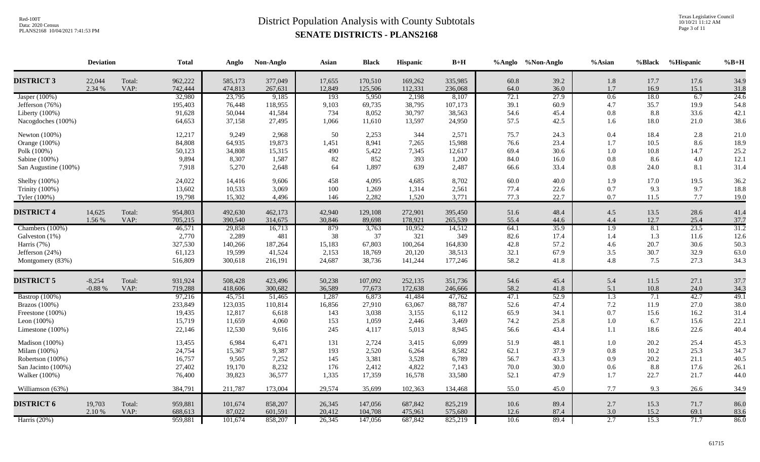Texas Legislative Council 10/10/21 11:12 AM Page 3 of 11

|                      | <b>Deviation</b>     |                | <b>Total</b>       | Anglo              | Non-Anglo          | Asian            | <b>Black</b>       | Hispanic           | $B+H$              |              | %Anglo %Non-Anglo | %Asian           | %Black       | %Hispanic    | $%B+H$       |
|----------------------|----------------------|----------------|--------------------|--------------------|--------------------|------------------|--------------------|--------------------|--------------------|--------------|-------------------|------------------|--------------|--------------|--------------|
| <b>DISTRICT 3</b>    | 22,044<br>2.34 %     | Total:<br>VAP: | 962,222<br>742,444 | 585,173<br>474,813 | 377,049<br>267,631 | 17,655<br>12,849 | 170,510<br>125,506 | 169,262<br>112,331 | 335,985<br>236,068 | 60.8<br>64.0 | 39.2<br>36.0      | 1.8<br>1.7       | 17.7<br>16.9 | 17.6<br>15.1 | 34.9<br>31.8 |
| Jasper (100%)        |                      |                | 32,980             | 23,795             | 9,185              | 193              | 5,950              | 2,198              | 8,107              | 72.1         | 27.9              | 0.6              | 18.0         | 6.7          | 24.6         |
| Jefferson (76%)      |                      |                | 195,403            | 76,448             | 118,955            | 9,103            | 69,735             | 38,795             | 107,173            | 39.1         | 60.9              | 4.7              | 35.7         | 19.9         | 54.8         |
| Liberty $(100\%)$    |                      |                | 91,628             | 50,044             | 41,584             | 734              | 8,052              | 30,797             | 38,563             | 54.6         | 45.4              | 0.8              | 8.8          | 33.6         | 42.1         |
| Nacogdoches (100%)   |                      |                | 64,653             | 37,158             | 27,495             | 1,066            | 11,610             | 13,597             | 24,950             | 57.5         | 42.5              | 1.6              | 18.0         | 21.0         | 38.6         |
| Newton (100%)        |                      |                | 12,217             | 9,249              | 2,968              | 50               | 2,253              | 344                | 2,571              | 75.7         | 24.3              | 0.4              | 18.4         | 2.8          | 21.0         |
| Orange (100%)        |                      |                | 84,808             | 64,935             | 19,873             | 1,451            | 8,941              | 7,265              | 15,988             | 76.6         | 23.4              | 1.7              | 10.5         | 8.6          | 18.9         |
| Polk (100%)          |                      |                | 50,123             | 34,808             | 15,315             | 490              | 5,422              | 7,345              | 12,617             | 69.4         | 30.6              | 1.0              | 10.8         | 14.7         | 25.2         |
| Sabine (100%)        |                      |                | 9,894              | 8,307              | 1,587              | 82               | 852                | 393                | 1,200              | 84.0         | 16.0              | 0.8              | 8.6          | 4.0          | 12.1         |
| San Augustine (100%) |                      |                | 7,918              | 5,270              | 2,648              | 64               | 1,897              | 639                | 2,487              | 66.6         | 33.4              | 0.8              | 24.0         | 8.1          | 31.4         |
| Shelby (100%)        |                      |                | 24,022             | 14,416             | 9,606              | 458              | 4,095              | 4,685              | 8,702              | 60.0         | 40.0              | 1.9              | 17.0         | 19.5         | 36.2         |
| Trinity (100%)       |                      |                | 13,602             | 10,533             | 3,069              | 100              | 1,269              | 1,314              | 2,561              | 77.4         | 22.6              | 0.7              | 9.3          | 9.7          | 18.8         |
| Tyler (100%)         |                      |                | 19,798             | 15,302             | 4,496              | 146              | 2,282              | 1,520              | 3,771              | 77.3         | 22.7              | 0.7              | 11.5         | $7.7\,$      | 19.0         |
| <b>DISTRICT 4</b>    | 14,625               | Total:         | 954,803            | 492,630            | 462,173            | 42,940           | 129,108            | 272,901            | 395,450            | 51.6         | 48.4              | 4.5              | 13.5         | 28.6         | 41.4         |
|                      | 1.56 %               | VAP:           | 705,215            | 390,540            | 314,675            | 30,846           | 89,698             | 178,921            | 265,539            | 55.4         | 44.6              | 4.4              | 12.7         | 25.4         | 37.7         |
| Chambers (100%)      |                      |                | 46,571             | 29,858             | 16,713             | 879              | 3,763              | 10,952             | 14,512             | 64.1         | 35.9              | $\overline{1.9}$ | 8.1          | 23.5         | 31.2         |
| Galveston (1%)       |                      |                | 2,770              | 2,289              | 481                | 38               | 37                 | 321                | 349                | 82.6         | 17.4              | 1.4              | 1.3          | 11.6         | 12.6         |
| Harris (7%)          |                      |                | 327,530            | 140,266            | 187,264            | 15,183           | 67,803             | 100,264            | 164,830            | 42.8         | 57.2              | 4.6              | 20.7         | 30.6         | 50.3         |
| Jefferson (24%)      |                      |                | 61,123             | 19,599             | 41,524             | 2,153            | 18,769             | 20,120             | 38,513             | 32.1         | 67.9              | 3.5              | 30.7         | 32.9         | 63.0         |
| Montgomery (83%)     |                      |                | 516,809            | 300,618            | 216,191            | 24,687           | 38,736             | 141,244            | 177,246            | 58.2         | 41.8              | 4.8              | 7.5          | 27.3         | 34.3         |
|                      |                      |                |                    |                    |                    |                  |                    |                    |                    |              |                   |                  |              |              |              |
| <b>DISTRICT 5</b>    | $-8,254$<br>$-0.88%$ | Total:<br>VAP: | 931,924<br>719,288 | 508,428<br>418,606 | 423,496<br>300,682 | 50,238<br>36,589 | 107,092<br>77,673  | 252,135<br>172,638 | 351,736<br>246,666 | 54.6<br>58.2 | 45.4<br>41.8      | 5.4<br>5.1       | 11.5<br>10.8 | 27.1<br>24.0 | 37.7<br>34.3 |
| Bastrop (100%)       |                      |                | 97,216             | 45,751             | 51,465             | 1,287            | 6,873              | 41,484             | 47,762             | 47.1         | 52.9              | $\overline{1.3}$ | 7.1          | 42.7         | 49.1         |
| Brazos (100%)        |                      |                | 233,849            | 123,035            | 110,814            | 16,856           | 27,910             | 63,067             | 88,787             | 52.6         | 47.4              | 7.2              | 11.9         | 27.0         | 38.0         |
| Freestone (100%)     |                      |                | 19,435             | 12,817             | 6,618              | 143              | 3,038              | 3,155              | 6,112              | 65.9         | 34.1              | 0.7              | 15.6         | 16.2         | 31.4         |
| Leon $(100\%)$       |                      |                | 15,719             | 11,659             | 4,060              | 153              | 1,059              | 2,446              | 3,469              | 74.2         | 25.8              | 1.0              | 6.7          | 15.6         | 22.1         |
| Limestone (100%)     |                      |                | 22,146             | 12,530             | 9,616              | 245              | 4,117              | 5,013              | 8,945              | 56.6         | 43.4              | 1.1              | 18.6         | 22.6         | 40.4         |
| Madison (100%)       |                      |                | 13,455             | 6,984              | 6,471              | 131              | 2,724              | 3,415              | 6,099              | 51.9         | 48.1              | 1.0              | 20.2         | 25.4         | 45.3         |
| Milam (100%)         |                      |                | 24,754             | 15,367             | 9,387              | 193              | 2,520              | 6,264              | 8,582              | 62.1         | 37.9              | 0.8              | 10.2         | 25.3         | 34.7         |
| Robertson (100%)     |                      |                | 16,757             | 9,505              | 7,252              | 145              | 3,381              | 3,528              | 6,789              | 56.7         | 43.3              | 0.9              | 20.2         | 21.1         | 40.5         |
| San Jacinto (100%)   |                      |                | 27,402             | 19,170             | 8,232              | 176              | 2,412              | 4,822              | 7,143              | 70.0         | 30.0              | 0.6              | 8.8          | 17.6         | 26.1         |
| Walker (100%)        |                      |                | 76,400             | 39,823             | 36,577             | 1,335            | 17,359             | 16,578             | 33,580             | 52.1         | 47.9              | 1.7              | 22.7         | 21.7         | 44.0         |
| Williamson (63%)     |                      |                | 384,791            | 211,787            | 173,004            | 29,574           | 35,699             | 102,363            | 134,468            | 55.0         | 45.0              | 7.7              | 9.3          | 26.6         | 34.9         |
| <b>DISTRICT 6</b>    | 19,703               | Total:         | 959,881            | 101,674            | 858,207            | 26,345           | 147,056            | 687,842            | 825,219            | 10.6         | 89.4              | 2.7              | 15.3         | 71.7         | 86.0         |
|                      | 2.10 %               | VAP:           | 688,613            | 87,022             | 601,591            | 20,412           | 104,708            | 475,961            | 575,680            | 12.6         | 87.4              | 3.0              | 15.2         | 69.1         | 83.6         |
| Harris $(20\%)$      |                      |                | 959,881            | 101,674            | 858,207            | 26,345           | 147,056            | 687,842            | 825,219            | 10.6         | 89.4              | 2.7              | 15.3         | 71.7         | 86.0         |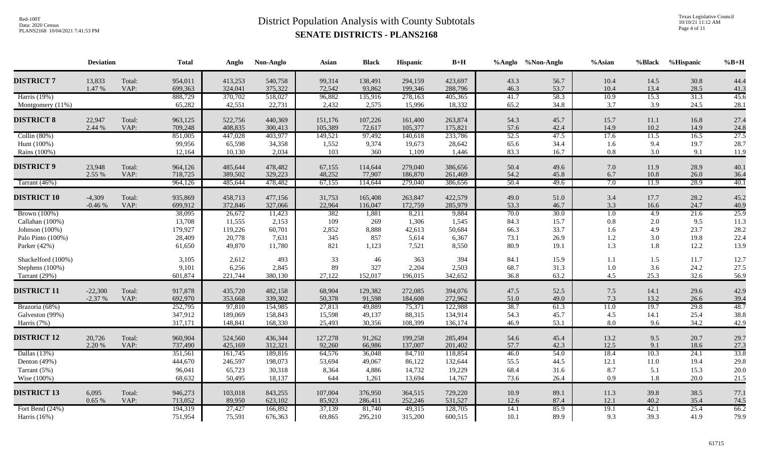Texas Legislative Council 10/10/21 11:12 AM Page 4 of 11

|                    | <b>Deviation</b> |                | <b>Total</b>       | Anglo              | Non-Anglo          | Asian              | <b>Black</b>      | Hispanic           | $B+H$              |              | %Anglo %Non-Anglo | %Asian           | <b>%Black</b> | %Hispanic    | $%B+H$       |
|--------------------|------------------|----------------|--------------------|--------------------|--------------------|--------------------|-------------------|--------------------|--------------------|--------------|-------------------|------------------|---------------|--------------|--------------|
| <b>DISTRICT 7</b>  | 13,833           | Total:         | 954,011            | 413,253            | 540,758            | 99,314             | 138,491           | 294,159            | 423,697            | 43.3         | 56.7              | 10.4             | 14.5          | 30.8         | 44.4         |
| Harris (19%)       | 1.47 %           | VAP:           | 699,363<br>888,729 | 324,041<br>370,702 | 375,322            | 72,542             | 93,862<br>135,916 | 199,346<br>278,163 | 288,796<br>405,365 | 46.3<br>41.7 | 53.7<br>58.3      | 10.4<br>10.9     | 13.4<br>15.3  | 28.5<br>31.3 | 41.3<br>45.6 |
| Montgomery (11%)   |                  |                | 65,282             | 42,551             | 518,027<br>22,731  | 96,882<br>2,432    | 2,575             | 15,996             | 18,332             | 65.2         | 34.8              | 3.7              | 3.9           | 24.5         | 28.1         |
|                    |                  |                |                    |                    |                    |                    |                   |                    |                    |              |                   |                  |               |              |              |
| <b>DISTRICT 8</b>  | 22,947<br>2.44 % | Total:<br>VAP: | 963,125<br>709,248 | 522,756<br>408,835 | 440,369<br>300,413 | 151,176<br>105,389 | 107,226<br>72,617 | 161,400<br>105,377 | 263,874<br>175,821 | 54.3<br>57.6 | 45.7<br>42.4      | 15.7<br>14.9     | 11.1<br>10.2  | 16.8<br>14.9 | 27.4<br>24.8 |
| Collin $(80%)$     |                  |                | 851,005            | 447,028            | 403,977            | 149,521            | 97,492            | 140,618            | 233,786            | 52.5         | 47.5              | 17.6             | 11.5          | 16.5         | 27.5         |
| Hunt (100%)        |                  |                | 99,956             | 65,598             | 34,358             | 1,552              | 9,374             | 19,673             | 28,642             | 65.6         | 34.4              | 1.6              | 9.4           | 19.7         | 28.7         |
| Rains (100%)       |                  |                | 12,164             | 10,130             | 2,034              | 103                | 360               | 1,109              | 1,446              | 83.3         | 16.7              | $0.8\,$          | 3.0           | 9.1          | 11.9         |
| <b>DISTRICT 9</b>  | 23,948           | Total:         | 964,126            | 485,644            | 478,482            | 67,155             | 114,644           | 279,040            | 386,656            | 50.4         | 49.6              | 7.0              | 11.9          | 28.9         | 40.1         |
|                    | 2.55 %           | VAP:           | 718,725            | 389,502            | 329,223            | 48,252             | 77,907            | 186,870            | 261,469            | 54.2         | 45.8              | 6.7              | 10.8          | 26.0         | 36.4         |
| Tarrant (46%)      |                  |                | 964,126            | 485,644            | 478,482            | 67,155             | 114,644           | 279,040            | 386,656            | 50.4         | 49.6              | 7.0              | 11.9          | 28.9         | 40.1         |
| <b>DISTRICT 10</b> | $-4,309$         | Total:         | 935,869            | 458,713            | 477,156            | 31,753             | 165,408           | 263,847            | 422,579            | 49.0         | 51.0              | 3.4              | 17.7          | 28.2         | 45.2         |
|                    | $-0.46%$         | VAP:           | 699,912            | 372,846            | 327,066            | 22,964             | 116,047           | 172,759            | 285,979            | 53.3         | 46.7              | 3.3              | 16.6          | 24.7         | 40.9         |
| Brown (100%)       |                  |                | 38,095             | 26,672             | 11,423             | 382                | 1,881             | 8,211              | 9,884              | 70.0         | 30.0              | $\overline{1.0}$ | 4.9           | 21.6         | 25.9         |
| Callahan (100%)    |                  |                | 13,708             | 11,555             | 2,153              | 109                | 269               | 1,306              | 1,545              | 84.3         | 15.7              | 0.8              | 2.0           | 9.5          | 11.3         |
| Johnson (100%)     |                  |                | 179,927            | 119,226            | 60,701             | 2,852              | 8,888             | 42,613             | 50,684             | 66.3         | 33.7              | 1.6              | 4.9           | 23.7         | 28.2         |
| Palo Pinto (100%)  |                  |                | 28,409             | 20,778             | 7,631              | 345                | 857               | 5,614              | 6,367              | 73.1         | 26.9              | 1.2              | 3.0           | 19.8         | 22.4         |
| Parker (42%)       |                  |                | 61,650             | 49,870             | 11,780             | 821                | 1,123             | 7,521              | 8,550              | 80.9         | 19.1              | 1.3              | 1.8           | 12.2         | 13.9         |
| Shackelford (100%) |                  |                | 3,105              | 2,612              | 493                | 33                 | 46                | 363                | 394                | 84.1         | 15.9              | 1.1              | 1.5           | 11.7         | 12.7         |
| Stephens (100%)    |                  |                | 9,101              | 6,256              | 2,845              | 89                 | 327               | 2,204              | 2,503              | 68.7         | 31.3              | 1.0              | 3.6           | 24.2         | 27.5         |
| Tarrant (29%)      |                  |                | 601,874            | 221,744            | 380,130            | 27,122             | 152,017           | 196,015            | 342,652            | 36.8         | 63.2              | 4.5              | 25.3          | 32.6         | 56.9         |
| <b>DISTRICT 11</b> | $-22,300$        | Total:         | 917,878            | 435,720            | 482,158            | 68,904             | 129,382           | 272,085            | 394,076            | 47.5         | 52.5              | $7.5$            | 14.1          | 29.6         | 42.9         |
|                    | $-2.37%$         | VAP:           | 692,970            | 353,668            | 339,302            | 50,378             | 91,598            | 184,608            | 272,962            | $51.0\,$     | 49.0              | 7.3              | 13.2          | 26.6         | 39.4         |
| Brazoria (68%)     |                  |                | 252,795            | 97,810             | 154,985            | 27,813             | 49,889            | 75,371             | 122,988            | 38.7         | 61.3              | 11.0             | 19.7          | 29.8         | 48.7         |
| Galveston (99%)    |                  |                | 347,912            | 189,069            | 158,843            | 15,598             | 49,137            | 88,315             | 134,914            | 54.3         | 45.7              | 4.5              | 14.1          | 25.4         | 38.8         |
| Harris (7%)        |                  |                | 317,171            | 148,841            | 168,330            | 25,493             | 30,356            | 108,399            | 136,174            | 46.9         | 53.1              | 8.0              | 9.6           | 34.2         | 42.9         |
| <b>DISTRICT 12</b> | 20,726           | Total:         | 960,904            | 524,560            | 436,344            | 127,278            | 91,262            | 199,258            | 285,494            | 54.6         | 45.4              | 13.2             | 9.5           | 20.7         | 29.7         |
|                    | 2.20 %           | VAP:           | 737,490            | 425,169            | 312,321            | 92,260             | 66,986            | 137,007            | 201,402            | 57.7         | 42.3              | 12.5             | 9.1           | 18.6         | 27.3         |
| Dallas (13%)       |                  |                | 351,561            | 161,745            | 189,816            | 64,576             | 36,048            | 84,710             | 118,854            | 46.0         | 54.0              | 18.4             | 10.3          | 24.1         | 33.8         |
| Denton (49%)       |                  |                | 444,670            | 246,597            | 198,073            | 53,694             | 49,067            | 86,122             | 132,644            | 55.5         | 44.5              | 12.1             | 11.0          | 19.4         | 29.8         |
| Tarrant (5%)       |                  |                | 96,041             | 65,723             | 30,318             | 8,364              | 4,886             | 14,732             | 19,229             | 68.4         | 31.6              | 8.7              | 5.1           | 15.3         | 20.0         |
| Wise (100%)        |                  |                | 68,632             | 50,495             | 18,137             | 644                | 1,261             | 13,694             | 14,767             | 73.6         | 26.4              | 0.9              | 1.8           | 20.0         | 21.5         |
| <b>DISTRICT 13</b> | 6,095            | Total:         | 946,273            | 103,018            | 843,255            | 107,004            | 376,950           | 364,515            | 729,220            | 10.9         | 89.1              | 11.3             | 39.8          | 38.5         | 77.1         |
|                    | 0.65%            | VAP:           | 713,052            | 89,950             | 623,102            | 85,923             | 286,411           | 252,246            | 531,527            | 12.6         | 87.4              | 12.1             | 40.2          | 35.4         | 74.5         |
| Fort Bend (24%)    |                  |                | 194,319            | 27,427             | 166,892            | 37,139             | 81,740            | 49,315             | 128,705            | 14.1         | 85.9              | 19.1             | 42.1          | 25.4         | 66.2         |
| Harris (16%)       |                  |                | 751,954            | 75,591             | 676,363            | 69,865             | 295,210           | 315,200            | 600,515            | 10.1         | 89.9              | 9.3              | 39.3          | 41.9         | 79.9         |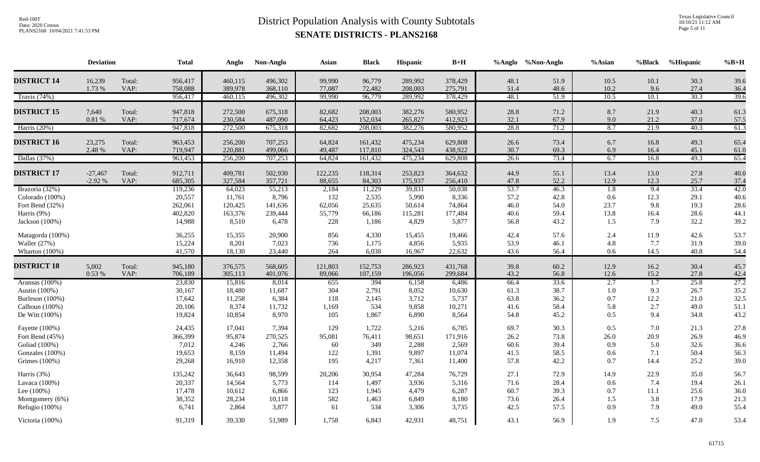Texas Legislative Council 10/10/21 11:12 AM Page 5 of 11

|                    | <b>Deviation</b> |        | <b>Total</b> | Anglo   | Non-Anglo | Asian   | <b>Black</b> | Hispanic | $\mathbf{B+H}$ |      | %Anglo %Non-Anglo | %Asian           | %Black           | %Hispanic | $%B+H$ |
|--------------------|------------------|--------|--------------|---------|-----------|---------|--------------|----------|----------------|------|-------------------|------------------|------------------|-----------|--------|
| <b>DISTRICT 14</b> | 16,239           | Total: | 956,417      | 460,115 | 496,302   | 99,990  | 96,779       | 289,992  | 378,429        | 48.1 | 51.9              | 10.5             | 10.1             | 30.3      | 39.6   |
|                    | 1.73 %           | VAP:   | 758,088      | 389,978 | 368,110   | 77,087  | 72,482       | 208,003  | 275,791        | 51.4 | 48.6              | 10.2             | 9.6              | 27.4      | 36.4   |
| Travis $(74%)$     |                  |        | 956,417      | 460,115 | 496,302   | 99,990  | 96,779       | 289,992  | 378,429        | 48.1 | 51.9              | 10.5             | 10.1             | 30.3      | 39.6   |
| <b>DISTRICT 15</b> | 7,640            | Total: | 947,818      | 272,500 | 675,318   | 82,682  | 208,003      | 382,276  | 580,952        | 28.8 | 71.2              | 8.7              | 21.9             | 40.3      | 61.3   |
|                    | $0.81\ \%$       | VAP:   | 717,674      | 230,584 | 487,090   | 64,423  | 152,034      | 265,827  | 412,923        | 32.1 | 67.9              | 9.0              | 21.2             | 37.0      | 57.5   |
| Harris (20%)       |                  |        | 947,818      | 272,500 | 675,318   | 82,682  | 208,003      | 382,276  | 580,952        | 28.8 | 71.2              | 8.7              | 21.9             | 40.3      | 61.3   |
|                    |                  |        |              |         |           |         |              |          |                |      |                   |                  |                  |           |        |
| <b>DISTRICT 16</b> | 23,275           | Total: | 963,453      | 256,200 | 707,253   | 64,824  | 161,432      | 475,234  | 629,808        | 26.6 | 73.4              | 6.7              | 16.8             | 49.3      | 65.4   |
|                    | 2.48 %           | VAP:   | 719,947      | 220,881 | 499,066   | 49,487  | 117,810      | 324,543  | 438,922        | 30.7 | 69.3              | 6.9              | 16.4             | 45.1      | 61.0   |
| Dallas (37%)       |                  |        | 963,453      | 256,200 | 707,253   | 64,824  | 161,432      | 475,234  | 629,808        | 26.6 | 73.4              | 6.7              | 16.8             | 49.3      | 65.4   |
| <b>DISTRICT 17</b> | $-27,467$        | Total: | 912,711      | 409,781 | 502,930   | 122,235 | 118,314      | 253,823  | 364,632        | 44.9 | 55.1              | 13.4             | 13.0             | 27.8      | 40.0   |
|                    | $-2.92%$         | VAP:   | 685,305      | 327,584 | 357,721   | 88,655  | 84,303       | 175,937  | 256,410        | 47.8 | 52.2              | 12.9             | 12.3             | 25.7      | 37.4   |
| Brazoria (32%)     |                  |        | 119,236      | 64,023  | 55,213    | 2,184   | 11,229       | 39,831   | 50,038         | 53.7 | 46.3              | $\overline{1.8}$ | 9.4              | 33.4      | 42.0   |
| Colorado (100%)    |                  |        | 20,557       | 11,761  | 8,796     | 132     | 2,535        | 5,990    | 8,336          | 57.2 | 42.8              | 0.6              | 12.3             | 29.1      | 40.6   |
| Fort Bend (32%)    |                  |        | 262,061      | 120,425 | 141,636   | 62,056  | 25,635       | 50,614   | 74,864         | 46.0 | 54.0              | 23.7             | 9.8              | 19.3      | 28.6   |
| Harris (9%)        |                  |        | 402,820      | 163,376 | 239,444   | 55,779  | 66,186       | 115,281  | 177,484        | 40.6 | 59.4              | 13.8             | 16.4             | 28.6      | 44.1   |
| Jackson $(100\%)$  |                  |        | 14,988       | 8,510   | 6,478     | 228     | 1,186        | 4,829    | 5,877          | 56.8 | 43.2              | 1.5              | 7.9              | 32.2      | 39.2   |
| Matagorda (100%)   |                  |        | 36,255       | 15,355  | 20,900    | 856     | 4,330        | 15,455   | 19,466         | 42.4 | 57.6              | 2.4              | 11.9             | 42.6      | 53.7   |
| Waller (27%)       |                  |        | 15,224       | 8,201   | 7,023     | 736     | 1,175        | 4,856    | 5,935          | 53.9 | 46.1              | 4.8              | 7.7              | 31.9      | 39.0   |
| Wharton (100%)     |                  |        | 41,570       | 18,130  | 23,440    | 264     | 6,038        | 16,967   | 22,632         | 43.6 | 56.4              | 0.6              | 14.5             | 40.8      | 54.4   |
| <b>DISTRICT 18</b> | 5,002            | Total: | 945,180      | 376,575 | 568,605   | 121,803 | 152,753      | 286,923  | 431,768        | 39.8 | 60.2              | 12.9             | 16.2             | 30.4      | 45.7   |
|                    | 0.53%            | VAP:   | 706,189      | 305,113 | 401,076   | 89,066  | 107,159      | 196,056  | 299,684        | 43.2 | 56.8              | 12.6             | 15.2             | 27.8      | 42.4   |
| Aransas (100%)     |                  |        | 23,830       | 15,816  | 8,014     | 655     | 394          | 6,158    | 6,486          | 66.4 | 33.6              | 2.7              | $\overline{1.7}$ | 25.8      | 27.2   |
| Austin (100%)      |                  |        | 30,167       | 18,480  | 11,687    | 304     | 2,791        | 8,052    | 10,630         | 61.3 | 38.7              | 1.0              | 9.3              | 26.7      | 35.2   |
| Burleson (100%)    |                  |        | 17,642       | 11,258  | 6,384     | 118     | 2,145        | 3,712    | 5,737          | 63.8 | 36.2              | 0.7              | 12.2             | 21.0      | 32.5   |
| Calhoun (100%)     |                  |        | 20,106       | 8,374   | 11,732    | 1,169   | 534          | 9,858    | 10,271         | 41.6 | 58.4              | 5.8              | 2.7              | 49.0      | 51.1   |
| De Witt (100%)     |                  |        | 19,824       | 10,854  | 8,970     | 105     | 1,867        | 6,890    | 8,564          | 54.8 | 45.2              | 0.5              | 9.4              | 34.8      | 43.2   |
| Fayette (100%)     |                  |        | 24,435       | 17,041  | 7,394     | 129     | 1,722        | 5,216    | 6,785          | 69.7 | 30.3              | 0.5              | 7.0              | 21.3      | 27.8   |
| Fort Bend (45%)    |                  |        | 366,399      | 95,874  | 270,525   | 95,081  | 76,411       | 98,651   | 171,916        | 26.2 | 73.8              | 26.0             | 20.9             | 26.9      | 46.9   |
| Goliad (100%)      |                  |        | 7,012        | 4,246   | 2,766     | 60      | 349          | 2,288    | 2,569          | 60.6 | 39.4              | 0.9              | 5.0              | 32.6      | 36.6   |
| Gonzales (100%)    |                  |        | 19,653       | 8,159   | 11,494    | 122     | 1,391        | 9,897    | 11,074         | 41.5 | 58.5              | 0.6              | 7.1              | 50.4      | 56.3   |
| Grimes (100%)      |                  |        | 29,268       | 16,910  | 12,358    | 195     | 4,217        | 7,361    | 11,400         | 57.8 | 42.2              | 0.7              | 14.4             | 25.2      | 39.0   |
| Harris (3%)        |                  |        | 135,242      | 36,643  | 98,599    | 20,206  | 30,954       | 47,284   | 76,729         | 27.1 | 72.9              | 14.9             | 22.9             | 35.0      | 56.7   |
| Lavaca (100%)      |                  |        | 20,337       | 14,564  | 5,773     | 114     | 1,497        | 3,936    | 5,316          | 71.6 | 28.4              | 0.6              | 7.4              | 19.4      | 26.1   |
| Lee (100%)         |                  |        | 17,478       | 10,612  | 6,866     | 123     | 1,945        | 4,479    | 6,287          | 60.7 | 39.3              | 0.7              | $11.1\,$         | 25.6      | 36.0   |
| Montgomery (6%)    |                  |        | 38,352       | 28,234  | 10,118    | 582     | 1,463        | 6,849    | 8,180          | 73.6 | 26.4              | 1.5              | 3.8              | 17.9      | 21.3   |
| Refugio (100%)     |                  |        | 6,741        | 2,864   | 3,877     | 61      | 534          | 3,306    | 3,735          | 42.5 | 57.5              | 0.9              | 7.9              | 49.0      | 55.4   |
| Victoria (100%)    |                  |        | 91,319       | 39,330  | 51,989    | 1,758   | 6,843        | 42,931   | 48,751         | 43.1 | 56.9              | 1.9              | 7.5              | 47.0      | 53.4   |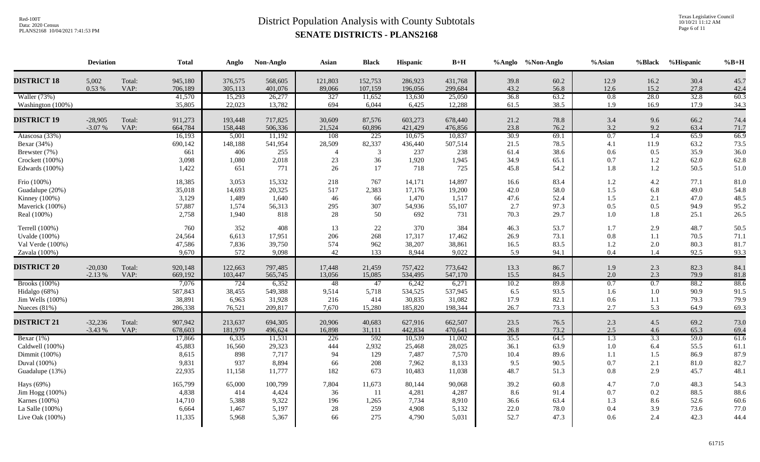Texas Legislative Council 10/10/21 11:12 AM Page 6 of 11

|                                                                                      | <b>Deviation</b>      |                | <b>Total</b>                                  | Anglo                                      | Non-Anglo                                    | Asian                          | <b>Black</b>                              | Hispanic                                     | $B+H$                                        |                                      | %Anglo %Non-Anglo                    | $%$ Asian                                    | %Black                                        | %Hispanic                                | $%B+H$                               |
|--------------------------------------------------------------------------------------|-----------------------|----------------|-----------------------------------------------|--------------------------------------------|----------------------------------------------|--------------------------------|-------------------------------------------|----------------------------------------------|----------------------------------------------|--------------------------------------|--------------------------------------|----------------------------------------------|-----------------------------------------------|------------------------------------------|--------------------------------------|
| <b>DISTRICT 18</b>                                                                   | 5,002<br>0.53 %       | Total:<br>VAP: | 945,180<br>706,189                            | 376,575<br>305,113                         | 568,605<br>401,076                           | 121,803<br>89,066              | 152,753<br>107,159                        | 286,923<br>196,056                           | 431,768<br>299,684                           | 39.8<br>43.2                         | 60.2<br>56.8                         | 12.9<br>12.6                                 | 16.2<br>15.2                                  | 30.4<br>27.8                             | 45.7<br>42.4                         |
| Waller (73%)<br>Washington (100%)                                                    |                       |                | 41,570<br>35,805                              | 15,293<br>22,023                           | 26,277<br>13,782                             | 327<br>694                     | 11,652<br>6,044                           | 13,630<br>6,425                              | 25,050<br>12,288                             | 36.8<br>61.5                         | 63.2<br>38.5                         | 0.8<br>1.9                                   | 28.0<br>16.9                                  | 32.8<br>17.9                             | 60.3<br>34.3                         |
| <b>DISTRICT 19</b>                                                                   | $-28,905$<br>$-3.07%$ | Total:<br>VAP: | 911,273<br>664,784                            | 193,448<br>158,448                         | 717,825<br>506,336                           | 30,609<br>21,524               | 87,576<br>60,896                          | 603,273<br>421,429                           | 678,440<br>476,856                           | 21.2<br>23.8                         | 78.8<br>76.2                         | 3.4<br>3.2                                   | 9.6<br>9.2                                    | 66.2<br>63.4                             | 74.4<br>71.7                         |
| Atascosa (33%)<br>Bexar (34%)<br>Brewster (7%)<br>Crockett (100%)<br>Edwards (100%)  |                       |                | 16,193<br>690,142<br>661<br>3,098<br>1,422    | 5,001<br>148,188<br>406<br>1,080<br>651    | 11,192<br>541,954<br>255<br>2,018<br>771     | 108<br>28,509<br>23<br>26      | 225<br>82,337<br>$\mathbf{3}$<br>36<br>17 | 10,675<br>436,440<br>237<br>1,920<br>718     | 10,837<br>507,514<br>238<br>1,945<br>725     | 30.9<br>21.5<br>61.4<br>34.9<br>45.8 | 69.1<br>78.5<br>38.6<br>65.1<br>54.2 | 0.7<br>4.1<br>0.6<br>0.7<br>1.8              | $\overline{1.4}$<br>11.9<br>0.5<br>1.2<br>1.2 | 65.9<br>63.2<br>35.9<br>62.0<br>50.5     | 66.9<br>73.5<br>36.0<br>62.8<br>51.0 |
| Frio (100%)<br>Guadalupe (20%)<br>Kinney (100%)<br>Maverick (100%)<br>Real (100%)    |                       |                | 18,385<br>35,018<br>3,129<br>57,887<br>2,758  | 3,053<br>14,693<br>1,489<br>1,574<br>1,940 | 15,332<br>20,325<br>1,640<br>56,313<br>818   | 218<br>517<br>46<br>295<br>28  | 767<br>2,383<br>66<br>307<br>50           | 14,171<br>17,176<br>1,470<br>54,936<br>692   | 14,897<br>19,200<br>1,517<br>55,107<br>731   | 16.6<br>42.0<br>47.6<br>2.7<br>70.3  | 83.4<br>58.0<br>52.4<br>97.3<br>29.7 | 1.2<br>1.5<br>1.5<br>0.5<br>1.0              | 4.2<br>6.8<br>2.1<br>0.5<br>1.8               | 77.1<br>49.0<br>47.0<br>94.9<br>25.1     | 81.0<br>54.8<br>48.5<br>95.2<br>26.5 |
| Terrell (100%)<br><b>Uvalde</b> (100%)<br>Val Verde (100%)<br>Zavala (100%)          |                       |                | 760<br>24,564<br>47,586<br>9,670              | 352<br>6,613<br>7,836<br>572               | 408<br>17,951<br>39,750<br>9,098             | 13<br>206<br>574<br>42         | 22<br>268<br>962<br>133                   | 370<br>17,317<br>38,207<br>8,944             | 384<br>17,462<br>38,861<br>9,022             | 46.3<br>26.9<br>16.5<br>5.9          | 53.7<br>73.1<br>83.5<br>94.1         | 1.7<br>0.8<br>1.2<br>0.4                     | 2.9<br>1.1<br>2.0<br>1.4                      | 48.7<br>70.5<br>80.3<br>92.5             | 50.5<br>71.1<br>81.7<br>93.3         |
| <b>DISTRICT 20</b>                                                                   | $-20,030$<br>$-2.13%$ | Total:<br>VAP: | 920,148<br>669,192                            | 122,663<br>103,447                         | 797,485<br>565,745                           | 17,448<br>13,056               | 21,459<br>15,085                          | 757,422<br>534,495                           | 773,642<br>547,170                           | 13.3<br>15.5                         | 86.7<br>84.5                         | 1.9<br>2.0                                   | 2.3<br>2.3                                    | 82.3<br>79.9                             | 84.1<br>81.8                         |
| <b>Brooks</b> (100%)<br>Hidalgo (68%)<br>Jim Wells (100%)<br>Nueces $(81%)$          |                       |                | 7,076<br>587,843<br>38,891<br>286,338         | 724<br>38,455<br>6,963<br>76,521           | 6,352<br>549,388<br>31,928<br>209,817        | 48<br>9,514<br>216<br>7,670    | 47<br>5,718<br>414<br>15,280              | 6,242<br>534,525<br>30,835<br>185,820        | 6,271<br>537,945<br>31,082<br>198,344        | 10.2<br>6.5<br>17.9<br>26.7          | 89.8<br>93.5<br>82.1<br>73.3         | 0.7<br>1.6<br>0.6<br>2.7                     | $\overline{0.7}$<br>1.0<br>1.1<br>5.3         | 88.2<br>90.9<br>79.3<br>64.9             | 88.6<br>91.5<br>79.9<br>69.3         |
| <b>DISTRICT 21</b>                                                                   | $-32,236$<br>$-3.43%$ | Total:<br>VAP: | 907,942<br>678,603                            | 213,637<br>181,979                         | 694,305<br>496,624                           | 20,906<br>16,898               | 40,683<br>31,111                          | 627,916<br>442,834                           | 662,507<br>470,641                           | 23.5<br>26.8                         | 76.5<br>73.2                         | 2.3<br>2.5                                   | 4.5<br>4.6                                    | 69.2<br>65.3                             | 73.0<br>69.4                         |
| Bexar $(1%)$<br>Caldwell (100%)<br>Dimmit (100%)<br>Duval (100%)<br>Guadalupe (13%)  |                       |                | 17,866<br>45,883<br>8,615<br>9,831<br>22,935  | 6,335<br>16,560<br>898<br>937<br>11,158    | 11,531<br>29,323<br>7,717<br>8,894<br>11,777 | 226<br>444<br>94<br>66<br>182  | 592<br>2,932<br>129<br>208<br>673         | 10,539<br>25,468<br>7,487<br>7,962<br>10,483 | 11,002<br>28,025<br>7,570<br>8,133<br>11,038 | 35.5<br>36.1<br>10.4<br>9.5<br>48.7  | 64.5<br>63.9<br>89.6<br>90.5<br>51.3 | $\overline{1.3}$<br>1.0<br>1.1<br>0.7<br>0.8 | 3.3<br>6.4<br>1.5<br>2.1<br>2.9               | 59.0<br>55.5<br>86.9<br>$81.0\,$<br>45.7 | 61.6<br>61.1<br>87.9<br>82.7<br>48.1 |
| Hays (69%)<br>Jim Hogg (100%)<br>Karnes (100%)<br>La Salle (100%)<br>Live Oak (100%) |                       |                | 165,799<br>4,838<br>14,710<br>6,664<br>11,335 | 65,000<br>414<br>5,388<br>1,467<br>5,968   | 100,799<br>4,424<br>9,322<br>5,197<br>5,367  | 7,804<br>36<br>196<br>28<br>66 | 11,673<br>11<br>1,265<br>259<br>275       | 80,144<br>4,281<br>7,734<br>4,908<br>4,790   | 90,068<br>4,287<br>8,910<br>5,132<br>5,031   | 39.2<br>8.6<br>36.6<br>22.0<br>52.7  | 60.8<br>91.4<br>63.4<br>78.0<br>47.3 | 4.7<br>0.7<br>1.3<br>0.4<br>0.6              | 7.0<br>0.2<br>8.6<br>3.9<br>2.4               | 48.3<br>88.5<br>52.6<br>73.6<br>42.3     | 54.3<br>88.6<br>60.6<br>77.0<br>44.4 |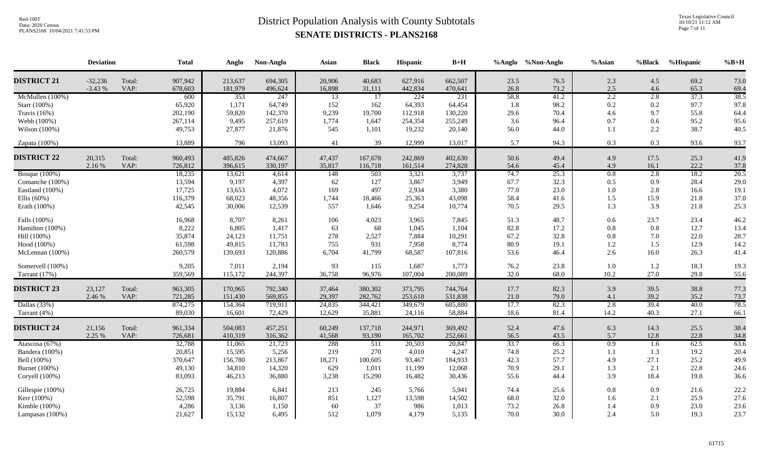Texas Legislative Council 10/10/21 11:12 AM Page 7 of 11

|                                                                                              | <b>Deviation</b>      |                | <b>Total</b>                                    | Anglo                                           | Non-Anglo                                      | Asian                                | <b>Black</b>                             | <b>Hispanic</b>                               | $B+H$                                          |                                      | %Anglo %Non-Anglo                    | %Asian                                       | %Black                                         | %Hispanic                            | $%B+H$                                            |
|----------------------------------------------------------------------------------------------|-----------------------|----------------|-------------------------------------------------|-------------------------------------------------|------------------------------------------------|--------------------------------------|------------------------------------------|-----------------------------------------------|------------------------------------------------|--------------------------------------|--------------------------------------|----------------------------------------------|------------------------------------------------|--------------------------------------|---------------------------------------------------|
| <b>DISTRICT 21</b>                                                                           | $-32,236$<br>$-3.43%$ | Total:<br>VAP: | 907,942<br>678,603                              | 213,637<br>181,979                              | 694,305<br>496,624                             | 20,906<br>16,898                     | 40,683<br>31,111                         | 627,916<br>442,834                            | 662,507<br>470,641                             | 23.5<br>26.8                         | 76.5<br>73.2                         | 2.3<br>2.5                                   | 4.5<br>4.6                                     | 69.2<br>65.3                         | 73.0<br>69.4                                      |
| McMullen (100%)<br>Starr (100%)<br>Travis $(16\%)$                                           |                       |                | 600<br>65,920<br>202,190                        | 353<br>1,171<br>59,820                          | 247<br>64,749<br>142,370                       | 13<br>152<br>9,239                   | 17<br>162<br>19,700                      | 224<br>64,393<br>112,918                      | 231<br>64,454<br>130,220                       | 58.8<br>1.8<br>29.6                  | 41.2<br>98.2<br>70.4                 | 2.2<br>0.2<br>$4.6\,$                        | 2.8<br>0.2<br>9.7                              | 37.3<br>97.7<br>55.8                 | 38.5<br>97.8<br>64.4                              |
| Webb (100%)<br>Wilson (100%)                                                                 |                       |                | 267,114<br>49,753                               | 9,495<br>27,877                                 | 257,619<br>21,876                              | 1,774<br>545                         | 1,647<br>1,101                           | 254,354<br>19,232                             | 255,249<br>20,140                              | 3.6<br>56.0                          | 96.4<br>44.0                         | 0.7<br>1.1                                   | 0.6<br>2.2                                     | 95.2<br>38.7                         | 95.6<br>40.5                                      |
| Zapata (100%)                                                                                |                       |                | 13,889                                          | 796                                             | 13,093                                         | 41                                   | 39                                       | 12,999                                        | 13,017                                         | 5.7                                  | 94.3                                 | 0.3                                          | 0.3                                            | 93.6                                 | 93.7                                              |
| <b>DISTRICT 22</b>                                                                           | 20,315<br>2.16 %      | Total:<br>VAP: | 960,493<br>726,812                              | 485,826<br>396,615                              | 474,667<br>330,197                             | 47,437<br>35,817                     | 167,678<br>116,718                       | 242,869<br>161,514                            | 402,630<br>274,828                             | 50.6<br>54.6                         | 49.4<br>45.4                         | 4.9<br>4.9                                   | 17.5<br>16.1                                   | 25.3<br>22.2                         | 41.9<br>37.8                                      |
| <b>Bosque</b> (100%)<br>Comanche (100%)<br>Eastland (100%)<br>Ellis $(60\%)$<br>Erath (100%) |                       |                | 18,235<br>13,594<br>17,725<br>116,379<br>42,545 | 13,621<br>9,197<br>13,653<br>68,023<br>30,006   | 4,614<br>4,397<br>4,072<br>48,356<br>12,539    | 148<br>62<br>169<br>1,744<br>557     | 503<br>127<br>497<br>18,466<br>1,646     | 3,321<br>3,867<br>2,934<br>25,363<br>9,254    | 3,737<br>3,949<br>3,380<br>43,098<br>10,774    | 74.7<br>67.7<br>77.0<br>58.4<br>70.5 | 25.3<br>32.3<br>23.0<br>41.6<br>29.5 | 0.8<br>0.5<br>1.0<br>1.5<br>1.3              | 2.8<br>0.9<br>2.8<br>15.9<br>3.9               | 18.2<br>28.4<br>16.6<br>21.8<br>21.8 | $\overline{20.5}$<br>29.0<br>19.1<br>37.0<br>25.3 |
| Falls (100%)<br>Hamilton (100%)<br>Hill (100%)<br>Hood (100%)<br>McLennan (100%)             |                       |                | 16,968<br>8,222<br>35,874<br>61,598<br>260,579  | 8,707<br>6,805<br>24,123<br>49,815<br>139,693   | 8,261<br>1,417<br>11,751<br>11,783<br>120,886  | 106<br>63<br>278<br>755<br>6,704     | 4,023<br>68<br>2,527<br>931<br>41,799    | 3,965<br>1,045<br>7,884<br>7,958<br>68,587    | 7,845<br>1,104<br>10,291<br>8,774<br>107,816   | 51.3<br>82.8<br>67.2<br>80.9<br>53.6 | 48.7<br>17.2<br>32.8<br>19.1<br>46.4 | 0.6<br>0.8<br>0.8<br>1.2<br>2.6              | 23.7<br>0.8<br>7.0<br>1.5<br>16.0              | 23.4<br>12.7<br>22.0<br>12.9<br>26.3 | 46.2<br>13.4<br>28.7<br>14.2<br>41.4              |
| Somervell (100%)<br>Tarrant (17%)                                                            |                       |                | 9,205<br>359,569                                | 7,011<br>115,172                                | 2,194<br>244,397                               | 93<br>36,758                         | 115<br>96,976                            | 1,687<br>107,004                              | 1,773<br>200,089                               | 76.2<br>32.0                         | 23.8<br>68.0                         | 1.0<br>10.2                                  | 1.2<br>27.0                                    | 18.3<br>29.8                         | 19.3<br>55.6                                      |
| <b>DISTRICT 23</b>                                                                           | 23,127<br>2.46 %      | Total:<br>VAP: | 963,305<br>721,285                              | 170,965<br>151,430                              | 792,340<br>569,855                             | 37,464<br>29,397                     | 380,302<br>282,762                       | 373,795<br>253,618                            | 744,764<br>531,838                             | 17.7<br>21.0                         | 82.3<br>79.0                         | 3.9<br>4.1                                   | 39.5<br>39.2                                   | 38.8<br>35.2                         | 77.3<br>73.7                                      |
| Dallas (33%)<br>Tarrant (4%)                                                                 |                       |                | 874,275<br>89,030                               | 154,364<br>16,601                               | 719,911<br>72,429                              | 24,835<br>12,629                     | 344,421<br>35,881                        | 349,679<br>24,116                             | 685,880<br>58,884                              | 17.7<br>18.6                         | 82.3<br>81.4                         | 2.8<br>14.2                                  | 39.4<br>40.3                                   | 40.0<br>27.1                         | 78.5<br>66.1                                      |
| <b>DISTRICT 24</b>                                                                           | 21,156<br>2.25 %      | Total:<br>VAP: | 961,334<br>726,681                              | 504,083<br>410,319                              | 457,251<br>316,362                             | 60,249<br>41,568                     | 137,718<br>93,190                        | 244,971<br>165,702                            | 369,492<br>252,661                             | 52.4<br>56.5                         | 47.6<br>43.5                         | 6.3<br>5.7                                   | 14.3<br>12.8                                   | 25.5<br>22.8                         | 38.4<br>34.8                                      |
| Atascosa (67%)<br>Bandera (100%)<br>Bell (100%)<br>Burnet (100%)<br>Coryell (100%)           |                       |                | 32,788<br>20,851<br>370,647<br>49,130<br>83,093 | 11,065<br>15,595<br>156,780<br>34,810<br>46,213 | 21,723<br>5,256<br>213,867<br>14,320<br>36,880 | 288<br>219<br>18,271<br>629<br>3,238 | 511<br>270<br>100,605<br>1,011<br>15,290 | 20,503<br>4,010<br>93,467<br>11,199<br>16,482 | 20,847<br>4,247<br>184,933<br>12,068<br>30,436 | 33.7<br>74.8<br>42.3<br>70.9<br>55.6 | 66.3<br>25.2<br>57.7<br>29.1<br>44.4 | $\overline{0.9}$<br>1.1<br>4.9<br>1.3<br>3.9 | $\overline{1.6}$<br>1.3<br>27.1<br>2.1<br>18.4 | 62.5<br>19.2<br>25.2<br>22.8<br>19.8 | 63.6<br>20.4<br>49.9<br>24.6<br>36.6              |
| Gillespie (100%)<br>Kerr (100%)<br>Kimble (100%)<br>Lampasas (100%)                          |                       |                | 26,725<br>52,598<br>4,286<br>21,627             | 19,884<br>35,791<br>3,136<br>15,132             | 6,841<br>16,807<br>1,150<br>6,495              | 213<br>851<br>60<br>512              | 245<br>1,127<br>37<br>1,079              | 5,766<br>13,598<br>986<br>4,179               | 5,941<br>14,502<br>1,013<br>5,135              | 74.4<br>68.0<br>73.2<br>70.0         | 25.6<br>32.0<br>26.8<br>30.0         | 0.8<br>1.6<br>1.4<br>2.4                     | 0.9<br>2.1<br>0.9<br>5.0                       | 21.6<br>25.9<br>23.0<br>19.3         | 22.2<br>27.6<br>23.6<br>23.7                      |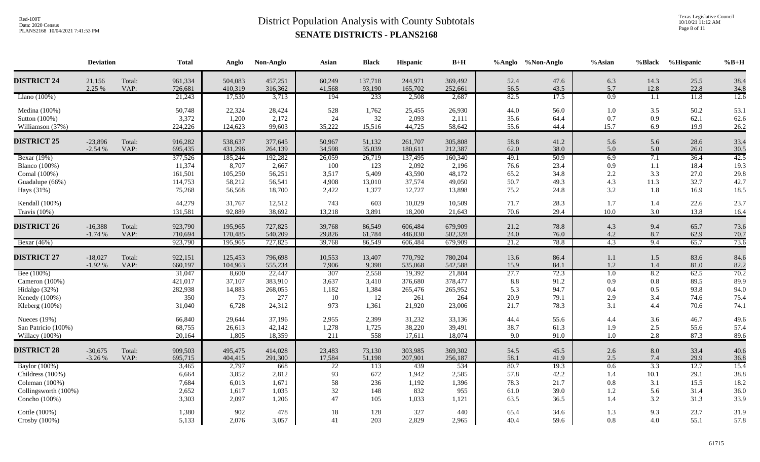Texas Legislative Council 10/10/21 11:12 AM Page 8 of 11

|                                | <b>Deviation</b>      |                | <b>Total</b>       | Anglo              | Non-Anglo          | Asian            | <b>Black</b>      | Hispanic           | $B+H$              |              | %Anglo %Non-Anglo | %Asian           | %Black           | %Hispanic    | $%B+H$       |
|--------------------------------|-----------------------|----------------|--------------------|--------------------|--------------------|------------------|-------------------|--------------------|--------------------|--------------|-------------------|------------------|------------------|--------------|--------------|
| <b>DISTRICT 24</b>             | 21,156<br>2.25 %      | Total:<br>VAP: | 961,334<br>726,681 | 504,083<br>410,319 | 457,251<br>316,362 | 60,249<br>41,568 | 137,718<br>93,190 | 244,971<br>165,702 | 369,492<br>252,661 | 52.4<br>56.5 | 47.6<br>43.5      | 6.3<br>5.7       | 14.3<br>12.8     | 25.5<br>22.8 | 38.4<br>34.8 |
| Llano $(100\%)$                |                       |                | 21,243             | 17,530             | 3,713              | 194              | 233               | 2,508              | 2,687              | 82.5         | 17.5              | 0.9              | 1.1              | 11.8         | 12.6         |
| Medina (100%)<br>Sutton (100%) |                       |                | 50,748<br>3,372    | 22,324<br>1,200    | 28,424<br>2,172    | 528<br>24        | 1,762<br>32       | 25,455<br>2,093    | 26,930<br>2,111    | 44.0<br>35.6 | 56.0<br>64.4      | 1.0<br>0.7       | 3.5<br>0.9       | 50.2<br>62.1 | 53.1<br>62.6 |
| Williamson (37%)               |                       |                | 224,226            | 124,623            | 99,603             | 35,222           | 15,516            | 44,725             | 58,642             | 55.6         | 44.4              | 15.7             | 6.9              | 19.9         | 26.2         |
| <b>DISTRICT 25</b>             | $-23,896$<br>$-2.54%$ | Total:<br>VAP: | 916,282<br>695,435 | 538,637<br>431,296 | 377,645<br>264,139 | 50,967<br>34,598 | 51,132<br>35,039  | 261,707<br>180,611 | 305,808<br>212,387 | 58.8<br>62.0 | 41.2<br>38.0      | 5.6<br>5.0       | 5.6<br>5.0       | 28.6<br>26.0 | 33.4<br>30.5 |
| Bexar (19%)                    |                       |                | 377,526            | 185,244            | 192,282            | 26,059           | 26,719            | 137,495            | 160,340            | 49.1         | 50.9              | 6.9              | 7.1              | 36.4         | 42.5         |
| <b>Blanco</b> (100%)           |                       |                | 11,374             | 8,707              | 2,667              | 100              | 123               | 2,092              | 2,196              | 76.6         | 23.4              | 0.9              | 1.1              | 18.4         | 19.3         |
| Comal (100%)                   |                       |                | 161,501            | 105,250            | 56,251             | 3,517            | 5,409             | 43,590             | 48,172             | 65.2         | 34.8              | 2.2              | 3.3              | 27.0         | 29.8         |
| Guadalupe (66%)                |                       |                | 114,753            | 58,212             | 56,541             | 4,908            | 13,010            | 37,574             | 49,050             | 50.7         | 49.3              | 4.3              | 11.3             | 32.7         | 42.7         |
| Hays (31%)                     |                       |                | 75,268             | 56,568             | 18,700             | 2,422            | 1,377             | 12,727             | 13,898             | 75.2         | 24.8              | 3.2              | 1.8              | 16.9         | 18.5         |
| Kendall (100%)                 |                       |                | 44,279             | 31,767             | 12,512             | 743              | 603               | 10,029             | 10,509             | 71.7         | 28.3              | 1.7              | 1.4              | 22.6         | 23.7         |
| Travis (10%)                   |                       |                | 131,581            | 92,889             | 38,692             | 13,218           | 3,891             | 18,200             | 21,643             | 70.6         | 29.4              | 10.0             | 3.0              | 13.8         | 16.4         |
| <b>DISTRICT 26</b>             | $-16,388$             | Total:         | 923,790            | 195,965            | 727,825            | 39,768           | 86,549            | 606,484            | 679,909            | 21.2         | 78.8              | 4.3              | 9.4              | 65.7         | 73.6         |
|                                | $-1.74%$              | VAP:           | 710,694            | 170,485            | 540,209            | 29,826           | 61,784            | 446,830            | 502,328            | 24.0         | 76.0              | 4.2              | 8.7              | 62.9         | 70.7         |
| Bexar (46%)                    |                       |                | 923,790            | 195,965            | 727,825            | 39,768           | 86,549            | 606,484            | 679,909            | 21.2         | 78.8              | 4.3              | 9.4              | 65.7         | 73.6         |
|                                |                       |                |                    |                    |                    |                  |                   |                    |                    |              |                   |                  |                  |              |              |
| <b>DISTRICT 27</b>             | $-18,027$<br>$-1.92%$ | Total:<br>VAP: | 922,151<br>660,197 | 125,453<br>104,963 | 796,698<br>555,234 | 10,553<br>7,906  | 13,407<br>9,398   | 770,792<br>535,068 | 780,204<br>542,588 | 13.6<br>15.9 | 86.4<br>84.1      | 1.1<br>1.2       | 1.5<br>1.4       | 83.6<br>81.0 | 84.6<br>82.2 |
| Bee (100%)                     |                       |                | 31,047             | 8,600              | 22,447             | 307              | 2,558             | 19,392             | 21,804             | 27.7         | 72.3              | $\overline{1.0}$ | 8.2              | 62.5         | 70.2         |
| Cameron (100%)                 |                       |                | 421,017            | 37,107             | 383,910            | 3,637            | 3,410             | 376,680            | 378,477            | 8.8          | 91.2              | 0.9              | 0.8              | 89.5         | 89.9         |
| Hidalgo (32%)                  |                       |                | 282,938            | 14,883             | 268,055            | 1,182            | 1,384             | 265,476            | 265,952            | 5.3          | 94.7              | 0.4              | 0.5              | 93.8         | 94.0         |
| Kenedy (100%)                  |                       |                | 350                | 73                 | 277                | $10\,$           | 12                | 261                | 264                | 20.9         | 79.1              | 2.9              | 3.4              | 74.6         | 75.4         |
| Kleberg (100%)                 |                       |                | 31,040             | 6,728              | 24,312             | 973              | 1,361             | 21,920             | 23,006             | 21.7         | 78.3              | 3.1              | 4.4              | 70.6         | 74.1         |
| Nueces (19%)                   |                       |                | 66,840             | 29,644             | 37,196             | 2,955            | 2,399             | 31,232             | 33,136             | 44.4         | 55.6              | 4.4              | 3.6              | 46.7         | 49.6         |
| San Patricio (100%)            |                       |                | 68,755             | 26,613             | 42,142             | 1,278            | 1,725             | 38,220             | 39,491             | 38.7         | 61.3              | 1.9              | 2.5              | 55.6         | 57.4         |
| Willacy (100%)                 |                       |                | 20,164             | 1,805              | 18,359             | 211              | 558               | 17,611             | 18,074             | 9.0          | 91.0              | 1.0              | 2.8              | 87.3         | 89.6         |
| <b>DISTRICT 28</b>             |                       |                |                    |                    |                    |                  |                   |                    |                    |              |                   |                  |                  |              |              |
|                                | $-30,675$<br>$-3.26%$ | Total:<br>VAP: | 909,503<br>695,715 | 495,475<br>404,415 | 414,028<br>291,300 | 23,483<br>17,584 | 73,130<br>51,198  | 303,985<br>207,901 | 369,302<br>256,187 | 54.5<br>58.1 | 45.5<br>41.9      | 2.6<br>2.5       | 8.0<br>7.4       | 33.4<br>29.9 | 40.6<br>36.8 |
| Baylor (100%)                  |                       |                | 3,465              | 2,797              | 668                | $\overline{22}$  | 113               | 439                | 534                | 80.7         | 19.3              | 0.6              | $\overline{3.3}$ | 12.7         | 15.4         |
| Childress (100%)               |                       |                | 6,664              | 3,852              | 2,812              | 93               | 672               | 1,942              | 2,585              | 57.8         | 42.2              | 1.4              | 10.1             | 29.1         | 38.8         |
| Coleman (100%)                 |                       |                | 7,684              | 6,013              | 1,671              | 58               | 236               | 1,192              | 1,396              | 78.3         | 21.7              | 0.8              | 3.1              | 15.5         | 18.2         |
| Collingsworth (100%)           |                       |                | 2,652              | 1,617              | 1,035              | 32               | 148               | 832                | 955                | 61.0         | 39.0              | 1.2              | 5.6              | 31.4         | 36.0         |
| Concho (100%)                  |                       |                | 3,303              | 2,097              | 1,206              | 47               | 105               | 1,033              | 1,121              | 63.5         | 36.5              | 1.4              | 3.2              | 31.3         | 33.9         |
| Cottle (100%)                  |                       |                | 1,380              | 902                | 478                | 18               | 128               | 327                | 440                | 65.4         | 34.6              | 1.3              | 9.3              | 23.7         | 31.9         |
| Crosby (100%)                  |                       |                | 5,133              | 2,076              | 3,057              | 41               | 203               | 2,829              | 2,965              | 40.4         | 59.6              | $0.8\,$          | 4.0              | 55.1         | 57.8         |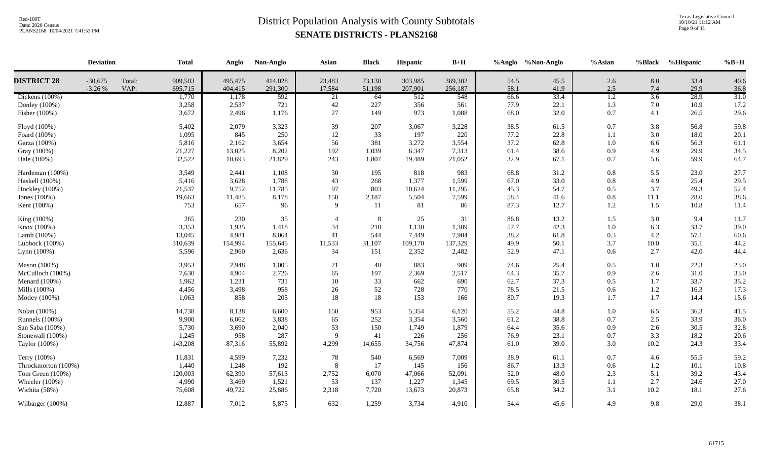Texas Legislative Council 10/10/21 11:12 AM Page 9 of 11

|                     | <b>Deviation</b>      |                | <b>Total</b>       | Anglo              | Non-Anglo          | Asian            | <b>Black</b>     | Hispanic           | $B+H$              |              | %Anglo %Non-Anglo | %Asian           | %Black           | %Hispanic    | $%B+H$       |
|---------------------|-----------------------|----------------|--------------------|--------------------|--------------------|------------------|------------------|--------------------|--------------------|--------------|-------------------|------------------|------------------|--------------|--------------|
| <b>DISTRICT 28</b>  | $-30,675$<br>$-3.26%$ | Total:<br>VAP: | 909,503<br>695,715 | 495,475<br>404,415 | 414,028<br>291,300 | 23,483<br>17,584 | 73,130<br>51,198 | 303,985<br>207,901 | 369,302<br>256,187 | 54.5<br>58.1 | 45.5<br>41.9      | 2.6<br>2.5       | 8.0<br>7.4       | 33.4<br>29.9 | 40.6<br>36.8 |
| Dickens $(100\%)$   |                       |                | 1,770              | 1,178              | $\overline{592}$   | 21               | 64               | 512                | 548                | 66.6         | 33.4              | $\overline{1.2}$ | $\overline{3.6}$ | 28.9         | 31.0         |
| Donley (100%)       |                       |                | 3,258              | 2,537              | 721                | 42               | 227              | 356                | 561                | 77.9         | 22.1              | 1.3              | 7.0              | 10.9         | 17.2         |
| Fisher (100%)       |                       |                | 3,672              | 2,496              | 1,176              | $27\,$           | 149              | 973                | 1,088              | 68.0         | 32.0              | 0.7              | 4.1              | 26.5         | 29.6         |
| Floyd (100%)        |                       |                | 5,402              | 2,079              | 3,323              | 39               | 207              | 3,067              | 3,228              | 38.5         | 61.5              | 0.7              | 3.8              | 56.8         | 59.8         |
| Foard (100%)        |                       |                | 1,095              | 845                | 250                | 12               | 33               | 197                | 220                | 77.2         | 22.8              | 1.1              | 3.0              | 18.0         | 20.1         |
| Garza (100%)        |                       |                | 5,816              | 2,162              | 3,654              | 56               | 381              | 3,272              | 3,554              | 37.2         | 62.8              | $1.0\,$          | 6.6              | 56.3         | 61.1         |
| Gray (100%)         |                       |                | 21,227             | 13,025             | 8,202              | 192              | 1,039            | 6,347              | 7,313              | 61.4         | 38.6              | 0.9              | 4.9              | 29.9         | 34.5         |
| Hale (100%)         |                       |                | 32,522             | 10,693             | 21,829             | 243              | 1,807            | 19,489             | 21,052             | 32.9         | 67.1              | 0.7              | 5.6              | 59.9         | 64.7         |
| Hardeman (100%)     |                       |                | 3,549              | 2,441              | 1,108              | 30               | 195              | 818                | 983                | 68.8         | 31.2              | $0.8\,$          | 5.5              | 23.0         | 27.7         |
| Haskell (100%)      |                       |                | 5,416              | 3,628              | 1,788              | 43               | 268              | 1,377              | 1,599              | 67.0         | 33.0              | $0.8\,$          | 4.9              | 25.4         | 29.5         |
| Hockley (100%)      |                       |                | 21,537             | 9,752              | 11,785             | 97               | 803              | 10,624             | 11,295             | 45.3         | 54.7              | 0.5              | 3.7              | 49.3         | 52.4         |
| Jones (100%)        |                       |                | 19,663             | 11,485             | 8,178              | 158              | 2,187            | 5,504              | 7,599              | 58.4         | 41.6              | 0.8              | 11.1             | 28.0         | 38.6         |
| Kent (100%)         |                       |                | 753                | 657                | 96                 | $\mathbf{Q}$     | 11               | 81                 | 86                 | 87.3         | 12.7              | 1.2              | 1.5              | 10.8         | 11.4         |
| King (100%)         |                       |                | 265                | 230                | 35                 |                  | 8                | 25                 | 31                 | 86.8         | 13.2              | 1.5              | 3.0              | 9.4          | 11.7         |
| Knox (100%)         |                       |                | 3,353              | 1,935              | 1,418              | 34               | 210              | 1,130              | 1,309              | 57.7         | 42.3              | $1.0\,$          | 6.3              | 33.7         | 39.0         |
| Lamb $(100\%)$      |                       |                | 13,045             | 4,981              | 8,064              | 41               | 544              | 7,449              | 7,904              | 38.2         | 61.8              | 0.3              | 4.2              | 57.1         | 60.6         |
| Lubbock (100%)      |                       |                | 310,639            | 154,994            | 155,645            | 11,533           | 31,107           | 109,170            | 137,329            | 49.9         | 50.1              | 3.7              | 10.0             | 35.1         | 44.2         |
| Lynn $(100\%)$      |                       |                | 5,596              | 2,960              | 2,636              | 34               | 151              | 2,352              | 2,482              | 52.9         | 47.1              | 0.6              | 2.7              | 42.0         | 44.4         |
| Mason (100%)        |                       |                | 3,953              | 2,948              | 1,005              | 21               | 40               | 883                | 909                | 74.6         | 25.4              | 0.5              | 1.0              | 22.3         | 23.0         |
| McCulloch (100%)    |                       |                | 7,630              | 4,904              | 2,726              | 65               | 197              | 2,369              | 2,517              | 64.3         | 35.7              | 0.9              | 2.6              | 31.0         | 33.0         |
| Menard $(100\%)$    |                       |                | 1,962              | 1,231              | 731                | 10               | 33               | 662                | 690                | 62.7         | 37.3              | 0.5              | 1.7              | 33.7         | 35.2         |
| Mills (100%)        |                       |                | 4,456              | 3,498              | 958                | 26               | 52               | 728                | 770                | 78.5         | 21.5              | 0.6              | 1.2              | 16.3         | 17.3         |
| Motley (100%)       |                       |                | 1,063              | 858                | 205                | 18               | 18               | 153                | 166                | 80.7         | 19.3              | 1.7              | 1.7              | 14.4         | 15.6         |
| Nolan (100%)        |                       |                | 14,738             | 8,138              | 6,600              | 150              | 953              | 5,354              | 6,120              | 55.2         | 44.8              | 1.0              | 6.5              | 36.3         | 41.5         |
| Runnels (100%)      |                       |                | 9,900              | 6,062              | 3,838              | 65               | 252              | 3,354              | 3,560              | 61.2         | 38.8              | 0.7              | 2.5              | 33.9         | 36.0         |
| San Saba (100%)     |                       |                | 5,730              | 3,690              | 2,040              | 53               | 150              | 1,749              | 1,879              | 64.4         | 35.6              | 0.9              | 2.6              | 30.5         | 32.8         |
| Stonewall (100%)    |                       |                | 1,245              | 958                | 287                | 9                | 41               | 226                | 256                | 76.9         | 23.1              | 0.7              | 3.3              | 18.2         | 20.6         |
| Taylor (100%)       |                       |                | 143,208            | 87,316             | 55,892             | 4,299            | 14,655           | 34,756             | 47,874             | 61.0         | 39.0              | 3.0              | 10.2             | 24.3         | 33.4         |
| Terry (100%)        |                       |                | 11,831             | 4,599              | 7,232              | 78               | 540              | 6,569              | 7,009              | 38.9         | 61.1              | 0.7              | 4.6              | 55.5         | 59.2         |
| Throckmorton (100%) |                       |                | 1,440              | 1,248              | 192                | 8                | 17               | 145                | 156                | 86.7         | 13.3              | 0.6              | 1.2              | 10.1         | 10.8         |
| Tom Green (100%)    |                       |                | 120,003            | 62,390             | 57,613             | 2,752            | 6,070            | 47,066             | 52,091             | 52.0         | 48.0              | 2.3              | 5.1              | 39.2         | 43.4         |
| Wheeler (100%)      |                       |                | 4,990              | 3,469              | 1,521              | 53               | 137              | 1,227              | 1,345              | 69.5         | 30.5              | 1.1              | 2.7              | 24.6         | 27.0         |
| Wichita (58%)       |                       |                | 75,608             | 49,722             | 25,886             | 2,318            | 7,720            | 13,673             | 20,873             | 65.8         | 34.2              | 3.1              | 10.2             | 18.1         | 27.6         |
| Wilbarger (100%)    |                       |                | 12,887             | 7,012              | 5,875              | 632              | 1,259            | 3,734              | 4,910              | 54.4         | 45.6              | 4.9              | 9.8              | 29.0         | 38.1         |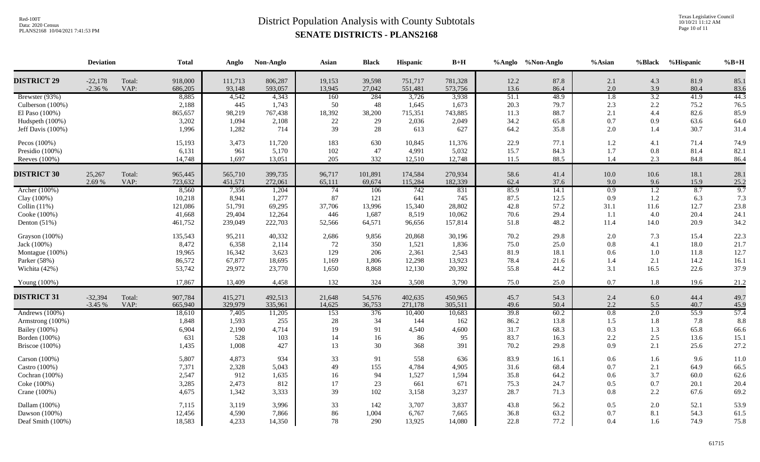Texas Legislative Council 10/10/21 11:12 AM Page 10 of 11

|                      | <b>Deviation</b>      |                | <b>Total</b>       | Anglo             | Non-Anglo          | Asian            | <b>Black</b>     | <b>Hispanic</b>    | $B+H$              |              | %Anglo %Non-Anglo | %Asian           | %Black           | %Hispanic    | $%B+H$       |
|----------------------|-----------------------|----------------|--------------------|-------------------|--------------------|------------------|------------------|--------------------|--------------------|--------------|-------------------|------------------|------------------|--------------|--------------|
| <b>DISTRICT 29</b>   | $-22,178$<br>$-2.36%$ | Total:<br>VAP: | 918,000<br>686,205 | 111,713<br>93,148 | 806,287<br>593,057 | 19,153<br>13,945 | 39,598<br>27,042 | 751,717<br>551,481 | 781,328<br>573,756 | 12.2<br>13.6 | 87.8<br>86.4      | 2.1<br>$2.0\,$   | 4.3<br>3.9       | 81.9<br>80.4 | 85.1<br>83.6 |
| Brewster (93%)       |                       |                | 8,885              | 4,542             | 4,343              | 160              | 284              | 3,726              | 3,938              | 51.1         | 48.9              | $\overline{1.8}$ | 3.2              | 41.9         | 44.3         |
| Culberson (100%)     |                       |                | 2,188              | 445               | 1,743              | 50               | 48               | 1,645              | 1,673              | 20.3         | 79.7              | 2.3              | 2.2              | 75.2         | 76.5         |
| El Paso (100%)       |                       |                | 865,657            | 98,219            | 767,438            | 18,392           | 38,200           | 715,351            | 743,885            | 11.3         | 88.7              | 2.1              | 4.4              | 82.6         | 85.9         |
| Hudspeth (100%)      |                       |                | 3,202              | 1,094             | 2,108              | $22\,$           | 29               | 2,036              | 2,049              | 34.2         | 65.8              | 0.7              | 0.9              | 63.6         | 64.0         |
| Jeff Davis (100%)    |                       |                | 1,996              | 1,282             | 714                | 39               | 28               | 613                | 627                | 64.2         | 35.8              | 2.0              | 1.4              | 30.7         | 31.4         |
| Pecos (100%)         |                       |                | 15,193             | 3,473             | 11,720             | 183              | 630              | 10,845             | 11,376             | 22.9         | 77.1              | $1.2\,$          | 4.1              | 71.4         | 74.9         |
| Presidio (100%)      |                       |                | 6,131              | 961               | 5,170              | 102              | 47               | 4,991              | 5,032              | 15.7         | 84.3              | 1.7              | 0.8              | 81.4         | 82.1         |
| Reeves (100%)        |                       |                | 14,748             | 1,697             | 13,051             | 205              | 332              | 12,510             | 12,748             | 11.5         | 88.5              | 1.4              | 2.3              | 84.8         | 86.4         |
| <b>DISTRICT 30</b>   | 25,267                | Total:         | 965,445            | 565,710           | 399,735            | 96,717           | 101,891          | 174,584            | 270,934            | 58.6         | 41.4              | 10.0             | 10.6             | 18.1         | 28.1         |
|                      | 2.69 %                | VAP:           | 723,632            | 451,571           | 272,061            | 65,111           | 69,674           | 115,284            | 182,339            | 62.4         | 37.6              | 9.0              | 9.6              | 15.9         | 25.2         |
| Archer (100%)        |                       |                | 8,560              | 7,356             | 1,204              | 74               | 106              | 742                | 831                | 85.9         | 14.1              | 0.9              | $\overline{1.2}$ | 8.7          | 9.7          |
| Clay (100%)          |                       |                | 10,218             | 8,941             | 1,277              | 87               | 121              | 641                | 745                | 87.5         | 12.5              | 0.9              | 1.2              | 6.3          | 7.3          |
| Collin $(11%)$       |                       |                | 121,086            | 51,791            | 69,295             | 37,706           | 13,996           | 15,340             | 28,802             | 42.8         | 57.2              | 31.1             | 11.6             | 12.7         | 23.8         |
| Cooke (100%)         |                       |                | 41,668             | 29,404            | 12,264             | 446              | 1,687            | 8,519              | 10,062             | 70.6         | 29.4              | 1.1              | 4.0              | 20.4         | 24.1         |
| Denton $(51%)$       |                       |                | 461,752            | 239,049           | 222,703            | 52,566           | 64,571           | 96,656             | 157,814            | 51.8         | 48.2              | 11.4             | 14.0             | 20.9         | 34.2         |
| Grayson (100%)       |                       |                | 135,543            | 95,211            | 40,332             | 2,686            | 9,856            | 20,868             | 30,196             | 70.2         | 29.8              | 2.0              | 7.3              | 15.4         | 22.3         |
| Jack (100%)          |                       |                | 8,472              | 6,358             | 2,114              | 72               | 350              | 1,521              | 1,836              | 75.0         | 25.0              | 0.8              | 4.1              | 18.0         | 21.7         |
| Montague (100%)      |                       |                | 19,965             | 16,342            | 3,623              | 129              | 206              | 2,361              | 2,543              | 81.9         | 18.1              | 0.6              | 1.0              | 11.8         | 12.7         |
| Parker (58%)         |                       |                | 86,572             | 67,877            | 18,695             | 1,169            | 1,806            | 12,298             | 13,923             | 78.4         | 21.6              | 1.4              | 2.1              | 14.2         | 16.1         |
| Wichita (42%)        |                       |                | 53,742             | 29,972            | 23,770             | 1,650            | 8,868            | 12,130             | 20,392             | 55.8         | 44.2              | 3.1              | 16.5             | 22.6         | 37.9         |
| Young $(100\%)$      |                       |                | 17,867             | 13,409            | 4,458              | 132              | 324              | 3,508              | 3,790              | 75.0         | 25.0              | 0.7              | 1.8              | 19.6         | 21.2         |
| <b>DISTRICT 31</b>   | $-32,394$             | Total:         | 907,784            | 415,271           | 492,513            | 21,648           | 54,576           | 402,635            | 450,965            | 45.7         | 54.3              | 2.4              | 6.0              | 44.4         | 49.7         |
|                      | $-3.45%$              | VAP:           | 665,940            | 329,979           | 335,961            | 14,625           | 36,753           | 271,178            | 305,511            | 49.6         | 50.4              | 2.2              | 5.5              | 40.7         | 45.9         |
| Andrews (100%)       |                       |                | 18,610             | 7,405             | 11,205             | 153              | 376              | 10,400             | 10,683             | 39.8         | 60.2              | 0.8              | 2.0              | 55.9         | 57.4         |
| Armstrong (100%)     |                       |                | 1,848              | 1,593             | 255                | 28               | 34               | 144                | 162                | 86.2         | 13.8              | 1.5              | 1.8              | 7.8          | 8.8          |
| <b>Bailey</b> (100%) |                       |                | 6,904              | 2,190             | 4,714              | 19               | 91               | 4,540              | 4,600              | 31.7         | 68.3              | 0.3              | 1.3              | 65.8         | 66.6         |
| Borden (100%)        |                       |                | 631                | 528               | 103                | 14               | 16               | 86                 | 95                 | 83.7         | 16.3              | 2.2              | 2.5              | 13.6         | 15.1         |
| Briscoe $(100\%)$    |                       |                | 1,435              | 1,008             | 427                | 13               | 30               | 368                | 391                | 70.2         | 29.8              | 0.9              | 2.1              | 25.6         | 27.2         |
| Carson (100%)        |                       |                | 5,807              | 4,873             | 934                | 33               | 91               | 558                | 636                | 83.9         | 16.1              | 0.6              | 1.6              | 9.6          | 11.0         |
| Castro (100%)        |                       |                | 7,371              | 2,328             | 5,043              | 49               | 155              | 4,784              | 4,905              | 31.6         | 68.4              | 0.7              | 2.1              | 64.9         | 66.5         |
| Cochran (100%)       |                       |                | 2,547              | 912               | 1,635              | 16               | 94               | 1,527              | 1,594              | 35.8         | 64.2              | 0.6              | 3.7              | 60.0         | 62.6         |
| Coke (100%)          |                       |                | 3,285              | 2,473             | 812                | 17               | 23               | 661                | 671                | 75.3         | 24.7              | 0.5              | 0.7              | 20.1         | 20.4         |
| Crane (100%)         |                       |                | 4,675              | 1,342             | 3,333              | 39               | 102              | 3,158              | 3,237              | 28.7         | 71.3              | 0.8              | 2.2              | 67.6         | 69.2         |
| Dallam (100%)        |                       |                | 7,115              | 3,119             | 3,996              | 33               | 142              | 3,707              | 3,837              | 43.8         | 56.2              | 0.5              | 2.0              | 52.1         | 53.9         |
| Dawson (100%)        |                       |                | 12,456             | 4,590             | 7,866              | 86               | 1,004            | 6,767              | 7,665              | 36.8         | 63.2              | 0.7              | 8.1              | 54.3         | 61.5         |
| Deaf Smith (100%)    |                       |                | 18,583             | 4,233             | 14,350             | 78               | 290              | 13,925             | 14,080             | 22.8         | 77.2              | 0.4              | 1.6              | 74.9         | 75.8         |